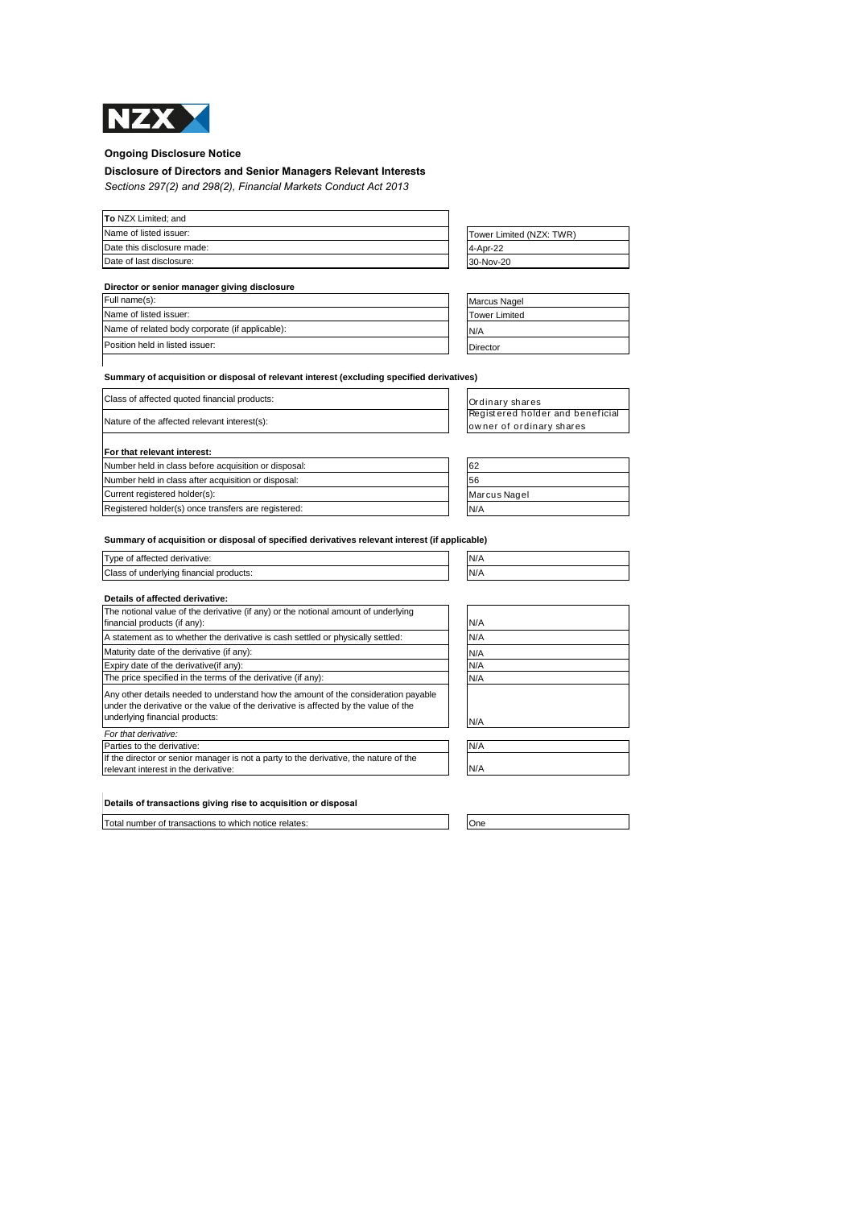

## **Ongoing Disclosure Notice**

# **Disclosure of Directors and Senior Managers Relevant Interests**

*Sections 297(2) and 298(2), Financial Markets Conduct Act 2013*

| To NZX Limited; and        |                          |
|----------------------------|--------------------------|
| Name of listed issuer:     | Tower Limited (NZX: TWR) |
| Date this disclosure made: | 4-Apr-22                 |
| Date of last disclosure:   | 30-Nov-20                |

| Director or senior manager giving disclosure    |                      |  |  |
|-------------------------------------------------|----------------------|--|--|
| Full name(s):                                   | <b>Marcus Nagel</b>  |  |  |
| Name of listed issuer:                          | <b>Tower Limited</b> |  |  |
| Name of related body corporate (if applicable): | N/A                  |  |  |
| Position held in listed issuer:                 | Director             |  |  |

## **Summary of acquisition or disposal of relevant interest (excluding specified derivatives)**

| Class of affected quoted financial products:         | Ordinary shares                                              |
|------------------------------------------------------|--------------------------------------------------------------|
| Nature of the affected relevant interest(s):         | Registered holder and beneficial<br>owner of ordinary shares |
| For that relevant interest:                          |                                                              |
| Number held in class before acquisition or disposal: | 62                                                           |
| Number held in class after acquisition or disposal:  | 56                                                           |
| Current registered holder(s):                        | Marcus Nagel                                                 |
| Registered holder(s) once transfers are registered:  | N/A                                                          |

**Summary of acquisition or disposal of specified derivatives relevant interest (if applicable)**

| Type<br>of affected derivative:                             | N/<br>N/D |
|-------------------------------------------------------------|-----------|
| <b>Class</b><br>tinancial products:<br>: underlvina :<br>0t | N<br>'    |
|                                                             |           |

## **Details of affected derivative:**

| The notional value of the derivative (if any) or the notional amount of underlying<br>financial products (if any):                                                                                          | N/A |
|-------------------------------------------------------------------------------------------------------------------------------------------------------------------------------------------------------------|-----|
| A statement as to whether the derivative is cash settled or physically settled:                                                                                                                             | N/A |
| Maturity date of the derivative (if any):                                                                                                                                                                   | N/A |
| Expiry date of the derivative (if any):                                                                                                                                                                     | N/A |
| The price specified in the terms of the derivative (if any):                                                                                                                                                |     |
| Any other details needed to understand how the amount of the consideration payable<br>under the derivative or the value of the derivative is affected by the value of the<br>underlying financial products: | N/A |
| For that derivative:                                                                                                                                                                                        |     |
| Parties to the derivative:                                                                                                                                                                                  | N/A |
| If the director or senior manager is not a party to the derivative, the nature of the<br>relevant interest in the derivative:                                                                               | N/A |

| N/A<br>N/A              |  |  |
|-------------------------|--|--|
|                         |  |  |
| $N/A$<br>$N/A$<br>$N/A$ |  |  |
|                         |  |  |
|                         |  |  |
|                         |  |  |
| N/A                     |  |  |

| Details of transactions giving rise to acquisition or disposal |  |  |  |
|----------------------------------------------------------------|--|--|--|
|----------------------------------------------------------------|--|--|--|

Total number of transactions to which notice relates: